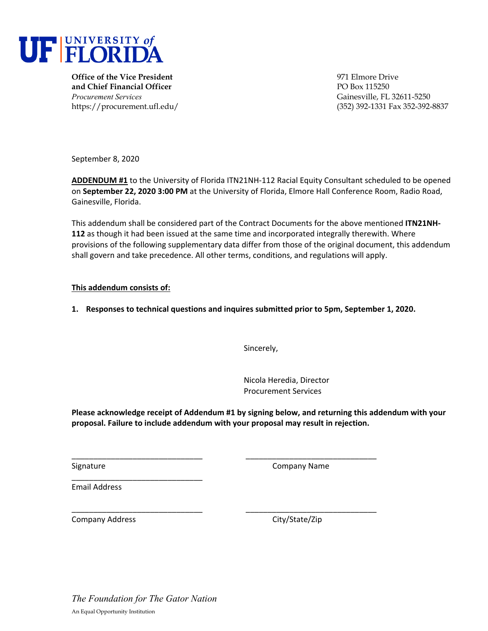

**Office of the Vice President** 971 Elmore Drive **and Chief Financial Officer PO Box 115250** *Procurement Services* Gainesville, FL 32611-5250

https://procurement.ufl.edu/ (352) 392-1331 Fax 352-392-8837

September 8, 2020

**ADDENDUM #1** to the University of Florida ITN21NH‐112 Racial Equity Consultant scheduled to be opened on **September 22, 2020 3:00 PM** at the University of Florida, Elmore Hall Conference Room, Radio Road, Gainesville, Florida.

This addendum shall be considered part of the Contract Documents for the above mentioned **ITN21NH‐ 112** as though it had been issued at the same time and incorporated integrally therewith. Where provisions of the following supplementary data differ from those of the original document, this addendum shall govern and take precedence. All other terms, conditions, and regulations will apply.

## **This addendum consists of:**

## **1. Responses to technical questions and inquires submitted prior to 5pm, September 1, 2020.**

Sincerely,

Nicola Heredia, Director Procurement Services

**Please acknowledge receipt of Addendum #1 by signing below, and returning this addendum with your proposal. Failure to include addendum with your proposal may result in rejection.**

\_\_\_\_\_\_\_\_\_\_\_\_\_\_\_\_\_\_\_\_\_\_\_\_\_\_\_\_\_\_ \_\_\_\_\_\_\_\_\_\_\_\_\_\_\_\_\_\_\_\_\_\_\_\_\_\_\_\_\_\_

\_\_\_\_\_\_\_\_\_\_\_\_\_\_\_\_\_\_\_\_\_\_\_\_\_\_\_\_\_\_ \_\_\_\_\_\_\_\_\_\_\_\_\_\_\_\_\_\_\_\_\_\_\_\_\_\_\_\_\_\_

Signature **Company Name** 

Email Address

Company Address City/State/Zip

\_\_\_\_\_\_\_\_\_\_\_\_\_\_\_\_\_\_\_\_\_\_\_\_\_\_\_\_\_\_